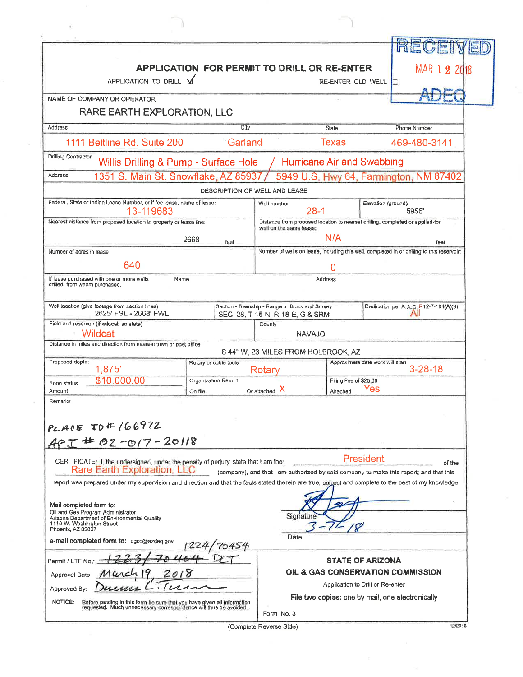| APPLICATION FOR PERMIT TO DRILL OR RE-ENTER                                                                                                            | MAR 1 2 2018                  |                                                                                    |                                   |                                                                                                    |  |
|--------------------------------------------------------------------------------------------------------------------------------------------------------|-------------------------------|------------------------------------------------------------------------------------|-----------------------------------|----------------------------------------------------------------------------------------------------|--|
| APPLICATION TO DRILL Y                                                                                                                                 |                               |                                                                                    | RE-ENTER OLD WELL                 |                                                                                                    |  |
| NAME OF COMPANY OR OPERATOR                                                                                                                            |                               |                                                                                    |                                   |                                                                                                    |  |
| RARE EARTH EXPLORATION, LLC                                                                                                                            |                               |                                                                                    |                                   |                                                                                                    |  |
| Address                                                                                                                                                | City                          |                                                                                    | <b>State</b>                      | Phone Number                                                                                       |  |
| 1111 Beltline Rd. Suite 200                                                                                                                            | Garland                       | <b>Texas</b>                                                                       | 469-480-3141                      |                                                                                                    |  |
| Drilling Contractor<br>Willis Drilling & Pump - Surface Hole                                                                                           |                               |                                                                                    | <b>Hurricane Air and Swabbing</b> |                                                                                                    |  |
| 1351 S. Main St. Snowflake, AZ 85937<br>Address                                                                                                        |                               |                                                                                    |                                   | 5949 U.S. Hwy 64, Farmington, NM 87402                                                             |  |
|                                                                                                                                                        | DESCRIPTION OF WELL AND LEASE |                                                                                    |                                   |                                                                                                    |  |
| Federal, State or Indian Lease Number, or if fee lease, name of lessor<br>13-119683                                                                    |                               | Well number<br>$28-1$                                                              | Elevation (ground)<br>5956        |                                                                                                    |  |
| Nearest distance from proposed location to property or lease line:                                                                                     |                               | Distance from proposed location to nearsel drilling, completed or applied-for      |                                   |                                                                                                    |  |
|                                                                                                                                                        | 2668                          | well on the same lease:                                                            | N/A                               |                                                                                                    |  |
| Number of acres in lease                                                                                                                               | feet                          |                                                                                    |                                   | feet<br>Number of wells on lease, including this well, completed in or drilling to this reservoir. |  |
| 640                                                                                                                                                    |                               |                                                                                    | 0                                 |                                                                                                    |  |
| If lease purchased with one or more wells<br>Name                                                                                                      |                               | Address                                                                            |                                   |                                                                                                    |  |
| drilled, from whom purchased.                                                                                                                          |                               |                                                                                    |                                   |                                                                                                    |  |
| Well location (give footage from section lines)<br>2625' FSL - 2668' FWL                                                                               |                               | Section - Township - Range or Block and Survey<br>SEC. 28, T-15-N, R-18-E, G & SRM |                                   | Dedication per A.A.C. R12-7-104(A)(3)                                                              |  |
| Field and reservoir (if wildcat, so state)                                                                                                             |                               | County                                                                             |                                   |                                                                                                    |  |
| Wildcat                                                                                                                                                |                               | NAVAJO                                                                             |                                   |                                                                                                    |  |
| Distance in miles and direction from nearest town or post office                                                                                       |                               | S 44° W, 23 MILES FROM HOLBROOK, AZ                                                |                                   |                                                                                                    |  |
| Proposed depth:<br>1,875'                                                                                                                              | Rotary or cable tools         | Rotary                                                                             | Approximate date work will start  | $3 - 28 - 18$                                                                                      |  |
| \$10,000.00<br>Bond status                                                                                                                             | Organization Report           | Filing Fee of \$25,00                                                              |                                   |                                                                                                    |  |
| Amount                                                                                                                                                 | On file                       | Or attached X                                                                      | Yes<br>Altached                   |                                                                                                    |  |
| Remarks                                                                                                                                                |                               |                                                                                    |                                   |                                                                                                    |  |
| PLACE IDE 166972                                                                                                                                       |                               |                                                                                    |                                   |                                                                                                    |  |
| $-462 - 017 - 20118$                                                                                                                                   |                               |                                                                                    |                                   |                                                                                                    |  |
|                                                                                                                                                        |                               |                                                                                    |                                   |                                                                                                    |  |
| CERTIFICATE: 1, the undersigned, under the penalty of perjury, state that I am the:<br><b>Rare Earth Exploration, LLC</b>                              |                               |                                                                                    | President                         | of the                                                                                             |  |
| report was prepared under my supervision and direction and that the facts stated therein are true, correct and complete to the best of my knowledge.   |                               |                                                                                    |                                   | (company), and that I am authorized by said company to make this report; and that this             |  |
|                                                                                                                                                        |                               |                                                                                    |                                   |                                                                                                    |  |
| Mail completed form to:<br>Oll and Gas Program Administrator                                                                                           |                               |                                                                                    |                                   |                                                                                                    |  |
| Arizona Department of Environmental Quality<br>1110 W. Washington Street                                                                               |                               | Signature                                                                          |                                   |                                                                                                    |  |
| Phoenix, AZ 85007<br>e-mail completed form to: ogcc@azdeq.gov                                                                                          |                               | Date                                                                               |                                   |                                                                                                    |  |
|                                                                                                                                                        |                               |                                                                                    |                                   |                                                                                                    |  |
| Permit / LTF No                                                                                                                                        |                               | STATE OF ARIZONA                                                                   |                                   |                                                                                                    |  |
| Approval Date:                                                                                                                                         |                               | OIL & GAS CONSERVATION COMMISSION                                                  |                                   |                                                                                                    |  |
| Application to Drill or Re-enter<br>Approved By:<br>File two copies: one by mail, one electronically                                                   |                               |                                                                                    |                                   |                                                                                                    |  |
| NOTICE:<br>Before sending in this form be sure that you have given all information<br>requested. Much unnecessary correspondence will thus be avoided. |                               |                                                                                    |                                   |                                                                                                    |  |
|                                                                                                                                                        |                               | Form No. 3                                                                         |                                   |                                                                                                    |  |

(Complete Reverse Side)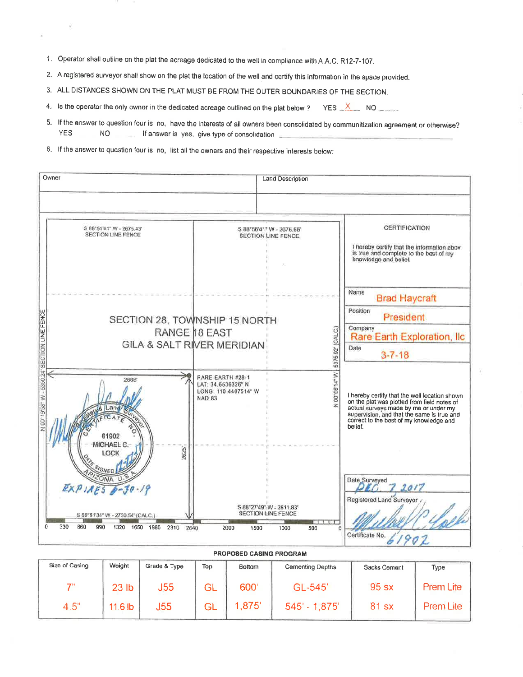1. Operator shall outline on the plat the acreage dedicated to the well in compliance with A.A.C. R12-7-107.

2. A registered surveyor shall show on the plat the location of the well and certify this information in the space provided.

3. ALL DISTANCES SHOWN ON THE PLAT MUST BE FROM THE OUTER BOUNDARIES OF THE SECTION.

YES X NO 4. Is the operator the only owner in the dedicated acreage outlined on the plat below?

- 5. If the answer to question four is no, have the interests of all owners been consolidated by communitization agreement or otherwise? **YES** NO If answer is yes, give type of consolidation
- 6. If the answer to question four is no, list all the owners and their respective interests below:

|                                           | Owner                                                                                                                    | <b>Land Description</b>                                                                           |                                                                                                                                                                                                                                           |  |
|-------------------------------------------|--------------------------------------------------------------------------------------------------------------------------|---------------------------------------------------------------------------------------------------|-------------------------------------------------------------------------------------------------------------------------------------------------------------------------------------------------------------------------------------------|--|
|                                           | S 88°51'41" W - 2675.43'<br><b>SECTION LINE FENCE</b>                                                                    | S 88°56'41" W - 2676.66"<br><b>SECTION LINE FENCE</b>                                             | CERTIFICATION<br>I hereby certify that the information abov<br>is true and complete to the best of my<br>knowledge and belief.                                                                                                            |  |
| 00*19'58" W - 5350.24" SECTION LINE FENCE |                                                                                                                          | SECTION 28, TOWNSHIP 15 NORTH<br>5375.92' (CALC.)<br>RANGE 18 EAST<br>GILA & SALT RIVER MERIDIAN  | Name<br><b>Brad Haycraft</b><br>Position<br>President<br>Company<br>Rare Earth Exploration, Ilc<br>Date<br>$3 - 7 - 18$                                                                                                                   |  |
|                                           | 2668<br>61902<br>MICHAEL C.<br>2625<br>LOCK                                                                              | 00°08'14" W<br>RARE EARTH #28-1<br>LAT: 34.6636326° N<br>LONG: 110.4407514" W<br><b>NAD 83</b>    | I hereby certify that the well location shown<br>on the plat was plotted from field notes of<br>actual surveys made by me or under my<br>supervision, and that the same is true and<br>correct to the best of my knowledge and<br>belief. |  |
|                                           | SI <sub>GNED</sub><br>EXPIAES<br>S 89°51'34" W - 2730.54' (CALC.)<br>330<br>660<br>Ω<br>990<br>1320<br>1650 1980<br>2310 | S 88°27'49" W - 2611.83"<br><b>SECTION LINE FENCE</b><br>2640<br>2000<br>1500<br>500<br>1000<br>n | Date Surveyed<br>2017<br>Registered Land Surveyor<br>Certificate No.                                                                                                                                                                      |  |

| <b>PROPOSED CASING PROGRAM</b> |                  |              |           |        |                         |              |                  |  |  |  |  |  |
|--------------------------------|------------------|--------------|-----------|--------|-------------------------|--------------|------------------|--|--|--|--|--|
| Size of Casing                 | Weight           | Grade & Type | Top       | Bottom | <b>Cementing Depths</b> | Sacks Cement | Type             |  |  |  |  |  |
| 7"                             | 23 <sub>lb</sub> | J55          | GL        | 600    | GL-545                  | 95 sx        | <b>Prem Lite</b> |  |  |  |  |  |
| 4.5"                           | $11.6$ lb        | J55          | <b>GL</b> | 1,875' | $545' - 1.875'$         | 81 sx        | Prem Lite        |  |  |  |  |  |